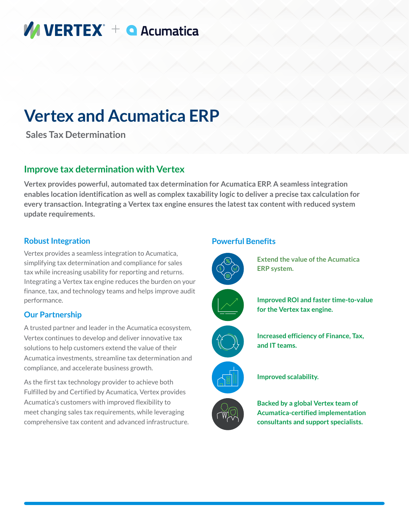# **MUERTEX** + **Q** Acumatica

# **Vertex and Acumatica ERP**

 **Sales Tax Determination**

### **Improve tax determination with Vertex**

**Vertex provides powerful, automated tax determination for Acumatica ERP. A seamless integration enables location identification as well as complex taxability logic to deliver a precise tax calculation for every transaction. Integrating a Vertex tax engine ensures the latest tax content with reduced system update requirements.**

#### **Robust Integration**

Vertex provides a seamless integration to Acumatica, simplifying tax determination and compliance for sales tax while increasing usability for reporting and returns. Integrating a Vertex tax engine reduces the burden on your finance, tax, and technology teams and helps improve audit performance.

#### **Our Partnership**

A trusted partner and leader in the Acumatica ecosystem, Vertex continues to develop and deliver innovative tax solutions to help customers extend the value of their Acumatica investments, streamline tax determination and compliance, and accelerate business growth.

As the first tax technology provider to achieve both Fulfilled by and Certified by Acumatica, Vertex provides Acumatica's customers with improved flexibility to meet changing sales tax requirements, while leveraging comprehensive tax content and advanced infrastructure.

#### **Powerful Benefits**

















**Improved scalability.**

**Backed by a global Vertex team of Acumatica-certified implementation consultants and support specialists.**